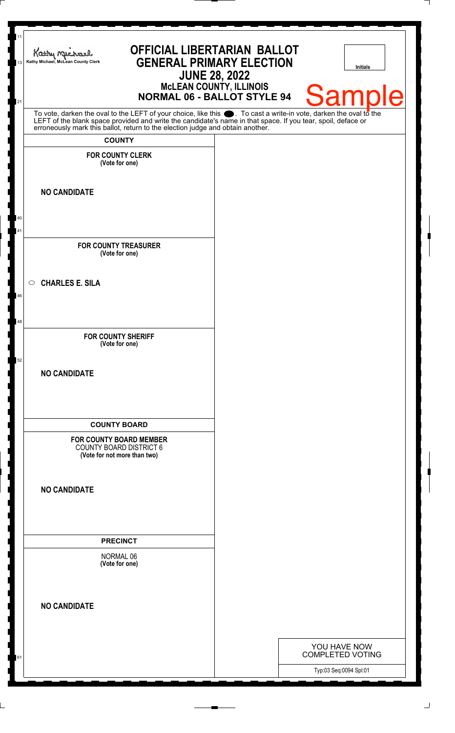| 11<br>13 | <b>OFFICIAL LIBERTARIAN BALLOT</b><br>Kathy nucharl<br><b>GENERAL PRIMARY ELECTION</b><br>Kathy Michael, McLean County Clerk<br><b>JUNE 28, 2022</b><br><b>McLEAN COUNTY, ILLINOIS</b><br><b>NORMAL 06 - BALLOT STYLE 94</b>                                                                                           | <b>Initials</b><br><b>Sample</b>        |
|----------|------------------------------------------------------------------------------------------------------------------------------------------------------------------------------------------------------------------------------------------------------------------------------------------------------------------------|-----------------------------------------|
| 21       | To vote, darken the oval to the LEFT of your choice, like this $\bullet$ . To cast a write-in vote, darken the oval to the LEFT of the blank space provided and write the candidate's name in that space. If you tear, spoil, deface<br>erroneously mark this ballot, return to the election judge and obtain another. |                                         |
|          | <b>COUNTY</b>                                                                                                                                                                                                                                                                                                          |                                         |
|          | <b>FOR COUNTY CLERK</b><br>(Vote for one)                                                                                                                                                                                                                                                                              |                                         |
|          | <b>NO CANDIDATE</b>                                                                                                                                                                                                                                                                                                    |                                         |
| 40<br>41 |                                                                                                                                                                                                                                                                                                                        |                                         |
|          | <b>FOR COUNTY TREASURER</b><br>(Vote for one)                                                                                                                                                                                                                                                                          |                                         |
| 46       | $\circ$ CHARLES E. SILA                                                                                                                                                                                                                                                                                                |                                         |
| 48       |                                                                                                                                                                                                                                                                                                                        |                                         |
| 52       | <b>FOR COUNTY SHERIFF</b><br>(Vote for one)                                                                                                                                                                                                                                                                            |                                         |
|          | <b>NO CANDIDATE</b>                                                                                                                                                                                                                                                                                                    |                                         |
|          | <b>COUNTY BOARD</b>                                                                                                                                                                                                                                                                                                    |                                         |
|          | <b>FOR COUNTY BOARD MEMBER</b><br><b>COUNTY BOARD DISTRICT 6</b><br>(Vote for not more than two)                                                                                                                                                                                                                       |                                         |
|          | <b>NO CANDIDATE</b>                                                                                                                                                                                                                                                                                                    |                                         |
|          | <b>PRECINCT</b>                                                                                                                                                                                                                                                                                                        |                                         |
|          | NORMAL 06<br>(Vote for one)                                                                                                                                                                                                                                                                                            |                                         |
|          | <b>NO CANDIDATE</b>                                                                                                                                                                                                                                                                                                    |                                         |
|          |                                                                                                                                                                                                                                                                                                                        |                                         |
| 61       |                                                                                                                                                                                                                                                                                                                        | YOU HAVE NOW<br><b>COMPLETED VOTING</b> |
|          |                                                                                                                                                                                                                                                                                                                        | Typ:03 Seq:0094 Spl:01                  |